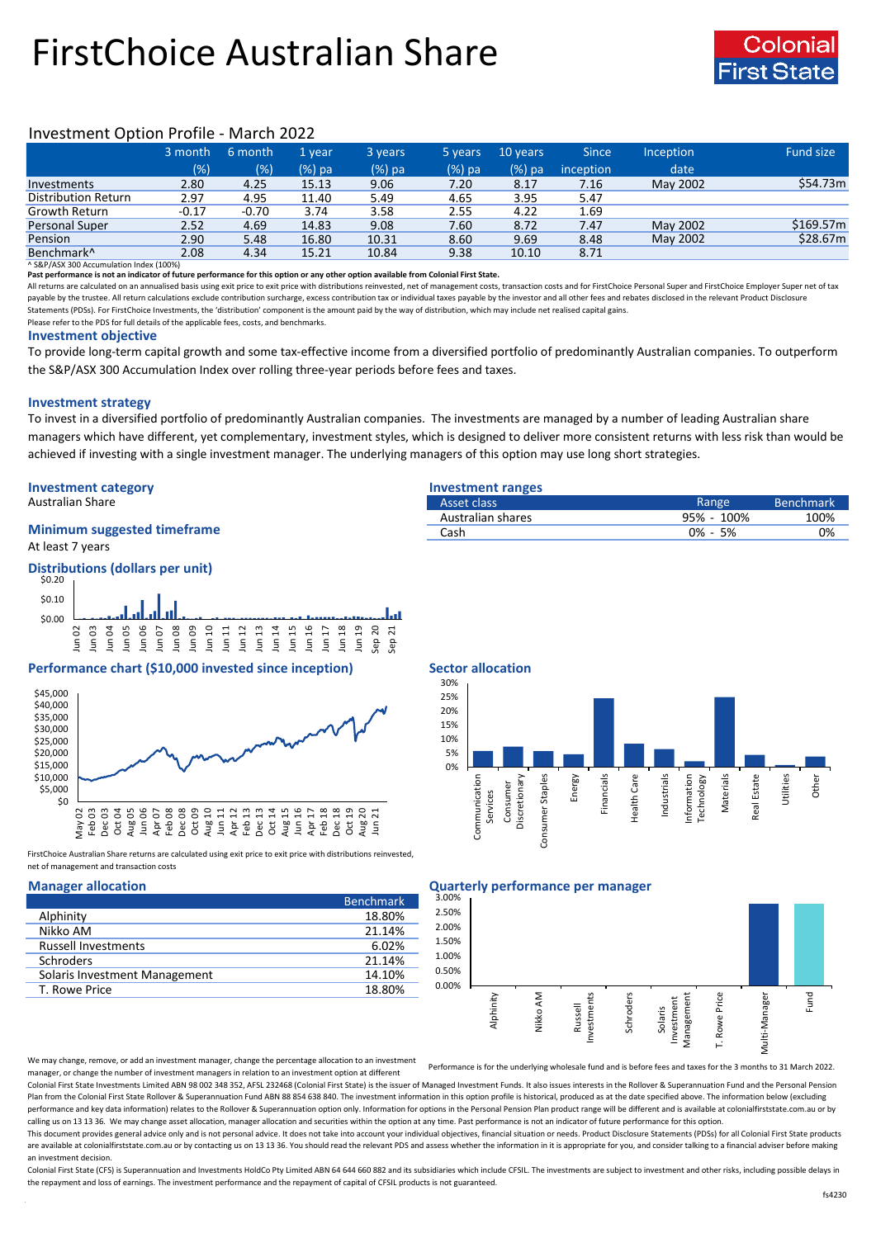# FirstChoice Australian Share



# Investment Option Profile - March 2022

|                        | 3 month | 6 month | '1 vear  | 3 years | 5 years | 10 years | <b>Since</b> | <b>Inception</b> | Fund size |
|------------------------|---------|---------|----------|---------|---------|----------|--------------|------------------|-----------|
|                        | (% )    | (%)     | $(%)$ pa | (%) pa  | (%) pa  | $(%)$ pa | inception    | date             |           |
| Investments            | 2.80    | 4.25    | 15.13    | 9.06    | 7.20    | 8.17     | 7.16         | May 2002         | \$54.73m  |
| Distribution Return    | 2.97    | 4.95    | 11.40    | 5.49    | 4.65    | 3.95     | 5.47         |                  |           |
| <b>Growth Return</b>   | $-0.17$ | $-0.70$ | 3.74     | 3.58    | 2.55    | 4.22     | 1.69         |                  |           |
| Personal Super         | 2.52    | 4.69    | 14.83    | 9.08    | 7.60    | 8.72     | 7.47         | May 2002         | \$169.57m |
| Pension                | 2.90    | 5.48    | 16.80    | 10.31   | 8.60    | 9.69     | 8.48         | May 2002         | \$28.67m  |
| Benchmark <sup>^</sup> | 2.08    | 4.34    | 15.21    | 10.84   | 9.38    | 10.10    | 8.71         |                  |           |

^ S&P/ASX 300 Accumulation Index (100%)

**Past performance is not an indicator of future performance for this option or any other option available from Colonial First State.**

All returns are calculated on an annualised basis using exit price to exit price with distributions reinvested, net of management costs, transaction costs and for FirstChoice Personal Super and FirstChoice Employer Super n payable by the trustee. All return calculations exclude contribution surcharge, excess contribution tax or individual taxes payable by the investor and all other fees and rebates disclosed in the relevant Product Disclosur Statements (PDSs). For FirstChoice Investments, the 'distribution' component is the amount paid by the way of distribution, which may include net realised capital gains.

Please refer to the PDS for full details of the applicable fees, costs, and benchmarks.

### **Investment objective**

To provide long-term capital growth and some tax-effective income from a diversified portfolio of predominantly Australian companies. To outperform the S&P/ASX 300 Accumulation Index over rolling three-year periods before fees and taxes.

## **Investment strategy**

To invest in a diversified portfolio of predominantly Australian companies. The investments are managed by a number of leading Australian share managers which have different, yet complementary, investment styles, which is designed to deliver more consistent returns with less risk than would be achieved if investing with a single investment manager. The underlying managers of this option may use long short strategies.

# **Investment category Investment ranges**

# **Minimum suggested timeframe**

At least 7 years



## **Performance chart (\$10,000 invested since inception) Sector allocation**



FirstChoice Australian Share returns are calculated using exit price to exit price with distributions reinvested, net of management and transaction costs

|                               | <b>Benchmark</b> |
|-------------------------------|------------------|
| Alphinity                     | 18.80%           |
| Nikko AM                      | 21.14%           |
| <b>Russell Investments</b>    | 6.02%            |
| <b>Schroders</b>              | 21.14%           |
| Solaris Investment Management | 14.10%           |
| T. Rowe Price                 | 18.80%           |

| Australian Share                   | Asset class       | Range         | Benchmark <sup>1</sup> |
|------------------------------------|-------------------|---------------|------------------------|
|                                    | Australian shares | 95% - 100%    | 100%                   |
| <b>Minimum suggested timeframe</b> | Cash              | 5%<br>$0\%$ - | 0%                     |
|                                    |                   |               |                        |



### **Manager allocation Quarterly performance per manager**



We may change, remove, or add an investment manager, change the percentage allocation to an investment manager, or change the number of investment managers in relation to an investment option at different

Performance is for the underlying wholesale fund and is before fees and taxes for the 3 months to 31 March 2022.

Colonial First State Investments Limited ABN 98 002 348 352, AFSL 232468 (Colonial First State) is the issuer of Managed Investment Funds. It also issues interests in the Rollover & Superannuation Fund and the Personal Pen Plan from the Colonial First State Rollover & Superannuation Fund ABN 88 854 638 840. The investment information in this option profile is historical, produced as at the date specified above. The information below (excludi performance and key data information) relates to the Rollover & Superannuation option only. Information for options in the Personal Pension Plan product range will be different and is available at colonialfirststate.com.au calling us on 13 13 36. We may change asset allocation, manager allocation and securities within the option at any time. Past performance is not an indicator of future performance for this option

This document provides general advice only and is not personal advice. It does not take into account your individual objectives, financial situation or needs. Product Disclosure Statements (PDSs) for all Colonial First Sta are available at colonialfirststate.com.au or by contacting us on 13 13 36. You should read the relevant PDS and assess whether the information in it is appropriate for you, and consider talking to a financial adviser befo an investment decision.

Colonial First State (CFS) is Superannuation and Investments HoldCo Ptv Limited ABN 64 644 660 882 and its subsidiaries which include CFSIL. The investments are subject to investment and other risks, including possible del the repayment and loss of earnings. The investment performance and the repayment of capital of CFSIL products is not guaranteed.